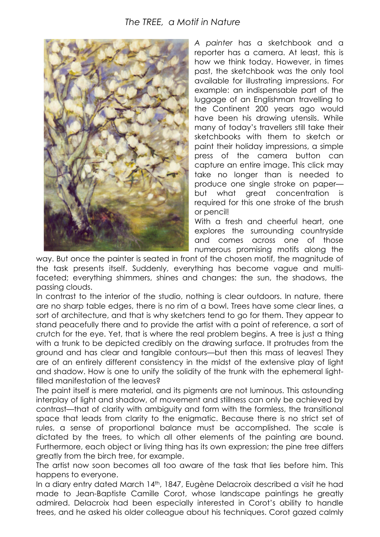

*A painter* has a sketchbook and a reporter has a camera. At least, this is how we think today. However, in times past, the sketchbook was the only tool available for illustrating impressions. For example: an indispensable part of the luggage of an Englishman travelling to the Continent 200 years ago would have been his drawing utensils. While many of today's travellers still take their sketchbooks with them to sketch or paint their holiday impressions, a simple press of the camera button can capture an entire image. This click may take no longer than is needed to produce one single stroke on paper but what great concentration is required for this one stroke of the brush or pencil!

With a fresh and cheerful heart, one explores the surrounding countryside and comes across one of those numerous promising motifs along the

way. But once the painter is seated in front of the chosen motif, the magnitude of the task presents itself. Suddenly, everything has become vague and multifaceted; everything shimmers, shines and changes: the sun, the shadows, the passing clouds.

In contrast to the interior of the studio, nothing is clear outdoors. In nature, there are no sharp table edges, there is no rim of a bowl. Trees have some clear lines, a sort of architecture, and that is why sketchers tend to go for them. They appear to stand peacefully there and to provide the artist with a point of reference, a sort of crutch for the eye. Yet, that is where the real problem begins. A tree is just a thing with a trunk to be depicted credibly on the drawing surface. It protrudes from the ground and has clear and tangible contours—but then this mass of leaves! They are of an entirely different consistency in the midst of the extensive play of light and shadow. How is one to unify the solidity of the trunk with the ephemeral lightfilled manifestation of the leaves?

The paint itself is mere material, and its pigments are not luminous. This astounding interplay of light and shadow, of movement and stillness can only be achieved by contrast—that of clarity with ambiguity and form with the formless, the transitional space that leads from clarity to the enigmatic. Because there is no strict set of rules, a sense of proportional balance must be accomplished. The scale is dictated by the trees, to which all other elements of the painting are bound. Furthermore, each object or living thing has its own expression; the pine tree differs greatly from the birch tree, for example.

The artist now soon becomes all too aware of the task that lies before him. This happens to everyone.

In a diary entry dated March 14<sup>th</sup>, 1847, Eugène Delacroix described a visit he had made to Jean-Baptiste Camille Corot, whose landscape paintings he greatly admired. Delacroix had been especially interested in Corot's ability to handle trees, and he asked his older colleague about his techniques. Corot gazed calmly